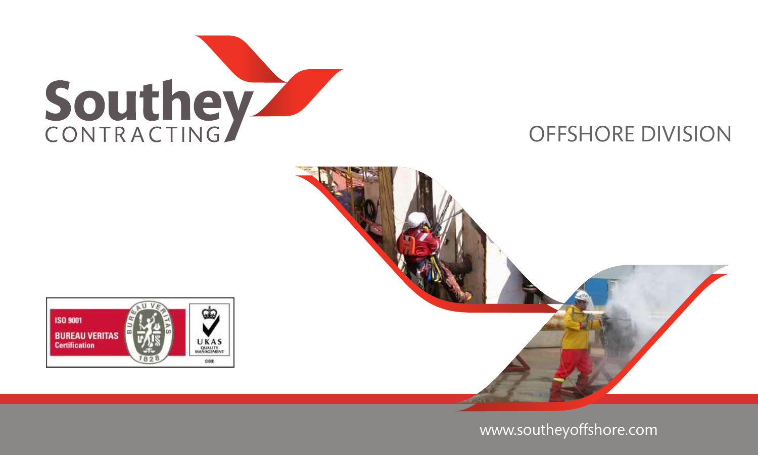





www.southeyoffshore.com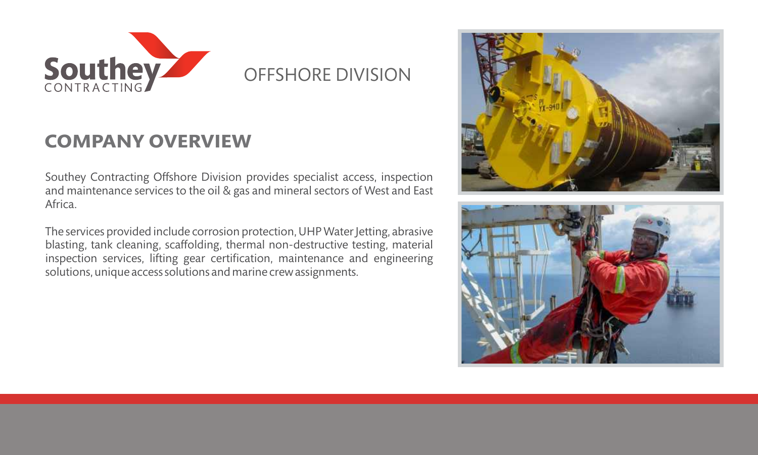

### **COMPANY OVERVIEW**

Southey Contracting Offshore Division provides specialist access, inspection and maintenance services to the oil & gas and mineral sectors of West and East Africa.

The services provided include corrosion protection, UHP Water Jetting, abrasive blasting, tank cleaning, scaffolding, thermal non-destructive testing, material inspection services, lifting gear certification, maintenance and engineering solutions, unique access solutions and marine crew assignments.



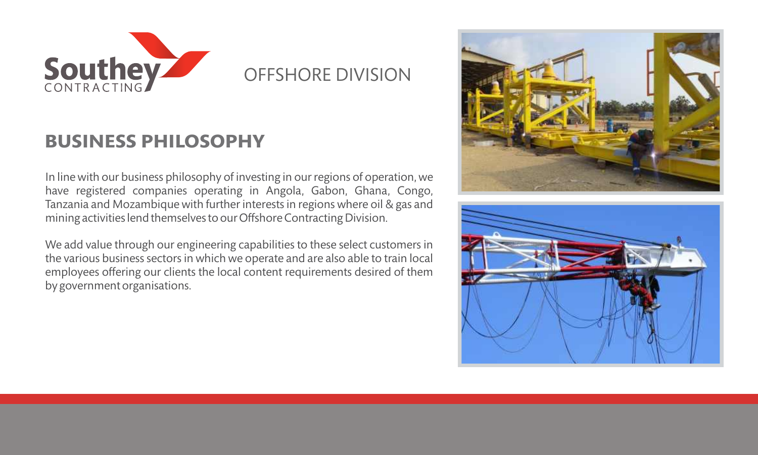

## **BUSINESS PHILOSOPHY**

In line with our business philosophy of investing in our regions of operation, we have registered companies operating in Angola, Gabon, Ghana, Congo, Tanzania and Mozambique with further interests in regions where oil & gas and mining activities lend themselves to our Offshore Contracting Division.

We add value through our engineering capabilities to these select customers in the various business sectors in which we operate and are also able to train local employees offering our clients the local content requirements desired of them by government organisations.



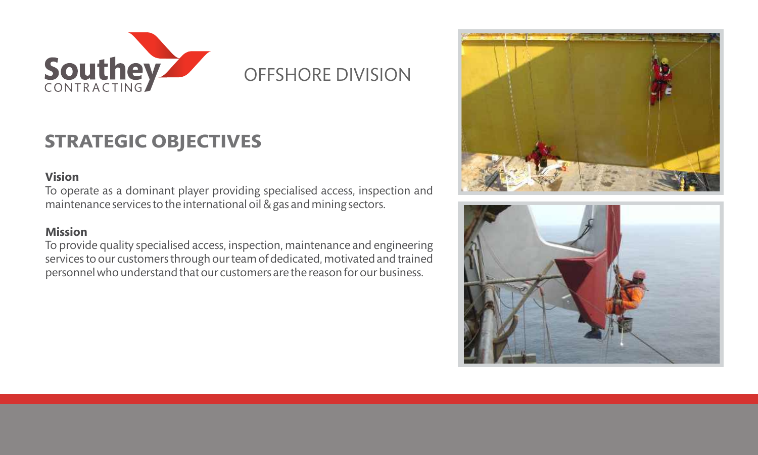

# **STRATEGIC OBJECTIVES**

#### **Vision**

To operate as a dominant player providing specialised access, inspection and maintenance services to the international oil & gas and mining sectors.

#### **Mission**

To provide quality specialised access, inspection, maintenance and engineering services to our customers through our team of dedicated, motivated and trained personnel who understand that our customers are the reason for our business.



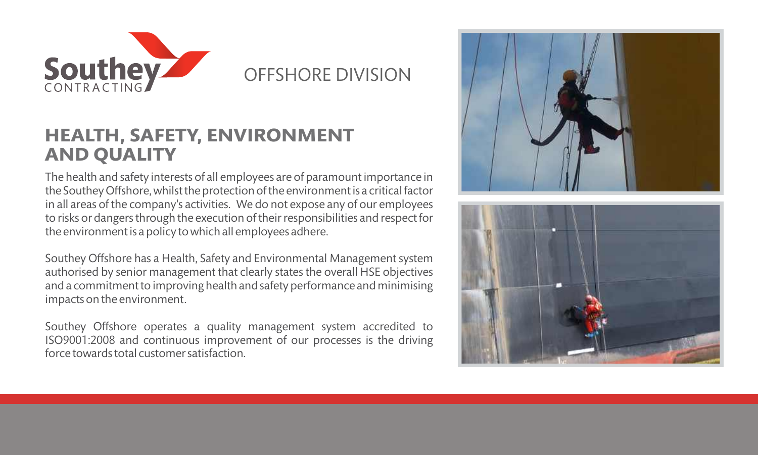

#### **HEALTH, SAFETY, ENVIRONMENT AND QUALITY**

The health and safety interests of all employees are of paramount importance in the Southey Offshore, whilst the protection of the environment is a critical factor in all areas of the company's activities. We do not expose any of our employees to risks or dangers through the execution of their responsibilities and respect for the environment is a policy to which all employees adhere.

Southey Offshore has a Health, Safety and Environmental Management system authorised by senior management that clearly states the overall HSE objectives and a commitment to improving health and safety performance and minimising impacts on the environment.

Southey Offshore operates a quality management system accredited to ISO9001:2008 and continuous improvement of our processes is the driving force towards total customer satisfaction.



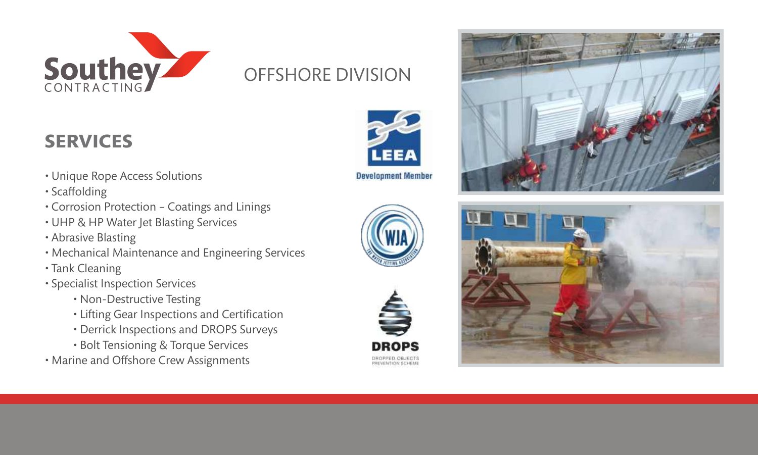



- Unique Rope Access Solutions
- Scaffolding
- Corrosion Protection Coatings and Linings
- UHP & HP Water Jet Blasting Services
- Abrasive Blasting
- Mechanical Maintenance and Engineering Services
- Tank Cleaning
- Specialist Inspection Services
	- Non-Destructive Testing
	- Lifting Gear Inspections and Certification
	- Derrick Inspections and DROPS Surveys
	- Bolt Tensioning & Torque Services
- Marine and Offshore Crew Assignments







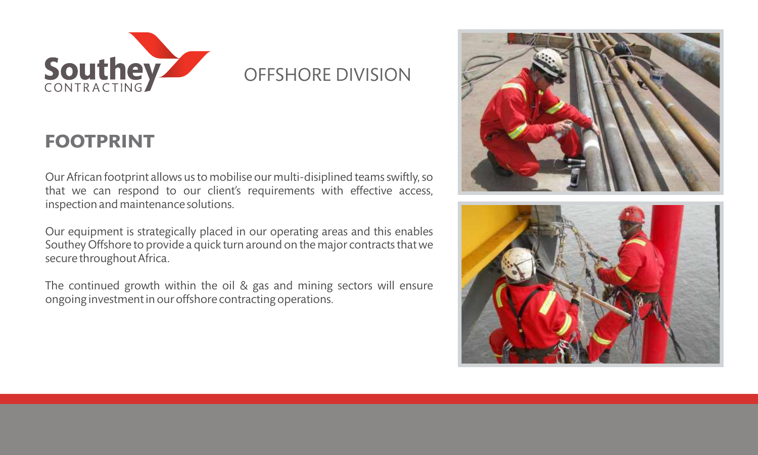

## **FOOTPRINT**

Our African footprint allows us to mobilise our multi-disiplined teams swiftly, so that we can respond to our client's requirements with effective access, inspection and maintenance solutions.

Our equipment is strategically placed in our operating areas and this enables Southey Offshore to provide a quick turn around on the major contracts that we secure throughout Africa.

The continued growth within the oil & gas and mining sectors will ensure ongoing investment in our offshore contracting operations.

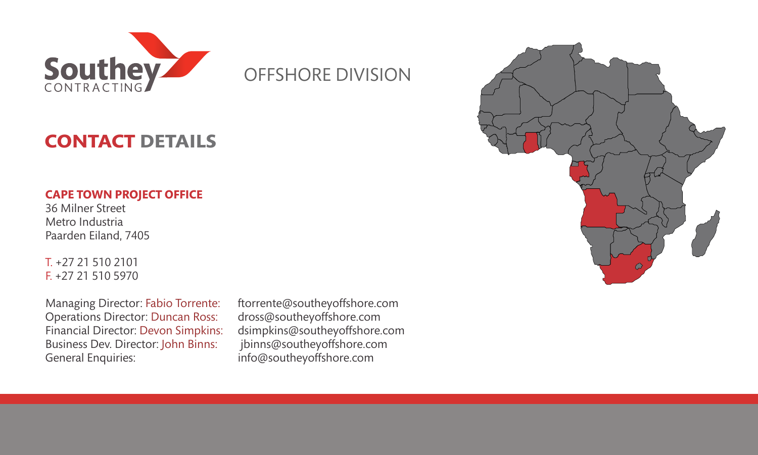

# **CONTACT DETAILS**

#### **CAPE TOWN PROJECT OFFICE**

36 Milner Street Metro Industria Paarden Eiland, 7405

T. +27 21 510 2101 F. +27 21 510 5970

Managing Director: Fabio Torrente: ftorrente@southeyoffshore.com Operations Director: Duncan Ross: dross@southeyoffshore.com Business Dev. Director: John Binns: jbinns@southeyoffshore.com General Enquiries: info@southeyoffshore.com Financial Director: Devon Simpkins:

dsimpkins@southeyoffshore.com<br>jbinns@southeyoffshore.com

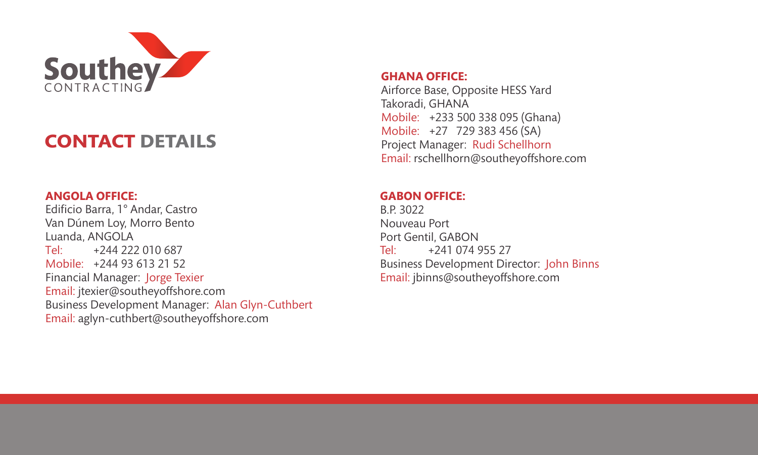

# **CONTACT DETAILS**

#### **ANGOLA OFFICE:**

Tel: Mobile: +244 93 613 21 52 Financial Manager: Jorge Texier Email: jtexier@southeyoffshore.com Business Development Manager: Alan Glyn-Cuthbert Email: aglyn-cuthbert@southeyoffshore.com Edificio Barra, 1° Andar, Castro Van Dúnem Loy, Morro Bento Luanda, ANGOLA +244 222 010 687

#### **GHANA OFFICE:**

Mobile: +233 500 338 095 (Ghana) Airforce Base, Opposite HESS Yard Takoradi, GHANA +27 729 383 456 (SA) Mobile: Project Manager: Rudi Schellhorn Email: rschellhorn@southeyoffshore.com

#### **GABON OFFICE:**

Tel: Business Development Director: John Binns Email: jbinns@southeyoffshore.com B.P. 3022 Nouveau Port Port Gentil, GABON +241 074 955 27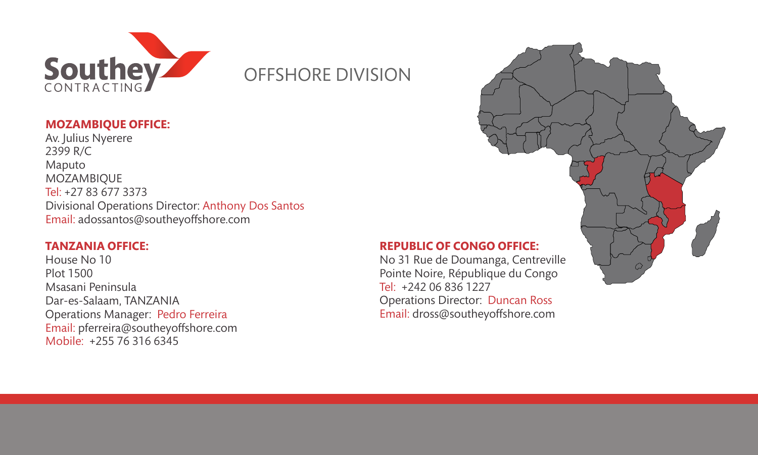

#### **MOZAMBIQUE OFFICE:**

Tel: +27 83 677 3373 Av. Julius Nyerere 2399 R/C Maputo MOZAMBIQUE Divisional Operations Director: Anthony Dos Santos Email: adossantos@southeyoffshore.com

#### **TANZANIA OFFICE:**

Operations Manager: Pedro Ferreira Email: pferreira@southeyoffshore.com Mobile: +255 76 316 6345 House No 10 Plot 1500 Msasani Peninsula Dar-es-Salaam, TANZANIA

#### **REPUBLIC OF CONGO OFFICE:**

Tel: +242 06 836 1227 No 31 Rue de Doumanga, Centreville Pointe Noire, République du Congo Operations Director: Duncan Ross Email: dross@southeyoffshore.com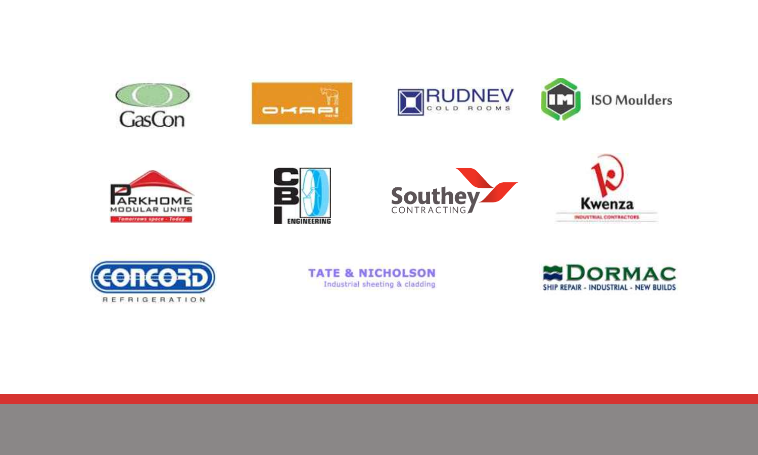

















**TATE & NICHOLSON** Industrial sheeting & cladding